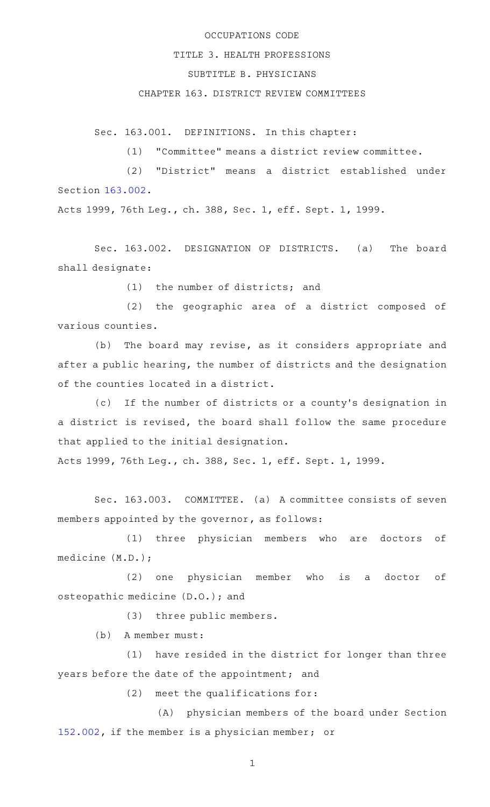## OCCUPATIONS CODE

### TITLE 3. HEALTH PROFESSIONS

# SUBTITLE B. PHYSICIANS

### CHAPTER 163. DISTRICT REVIEW COMMITTEES

Sec. 163.001. DEFINITIONS. In this chapter:

(1) "Committee" means a district review committee.

(2) "District" means a district established under Section [163.002.](http://www.statutes.legis.state.tx.us/GetStatute.aspx?Code=OC&Value=163.002)

Acts 1999, 76th Leg., ch. 388, Sec. 1, eff. Sept. 1, 1999.

Sec. 163.002. DESIGNATION OF DISTRICTS. (a) The board shall designate:

 $(1)$  the number of districts; and

(2) the geographic area of a district composed of various counties.

(b) The board may revise, as it considers appropriate and after a public hearing, the number of districts and the designation of the counties located in a district.

(c) If the number of districts or a county's designation in a district is revised, the board shall follow the same procedure that applied to the initial designation.

Acts 1999, 76th Leg., ch. 388, Sec. 1, eff. Sept. 1, 1999.

Sec. 163.003. COMMITTEE. (a) A committee consists of seven members appointed by the governor, as follows:

(1) three physician members who are doctors of medicine (M.D.);

(2) one physician member who is a doctor of osteopathic medicine (D.O.); and

(3) three public members.

(b) A member must:

 $(1)$  have resided in the district for longer than three years before the date of the appointment; and

 $(2)$  meet the qualifications for:

(A) physician members of the board under Section [152.002,](http://www.statutes.legis.state.tx.us/GetStatute.aspx?Code=OC&Value=152.002) if the member is a physician member; or

1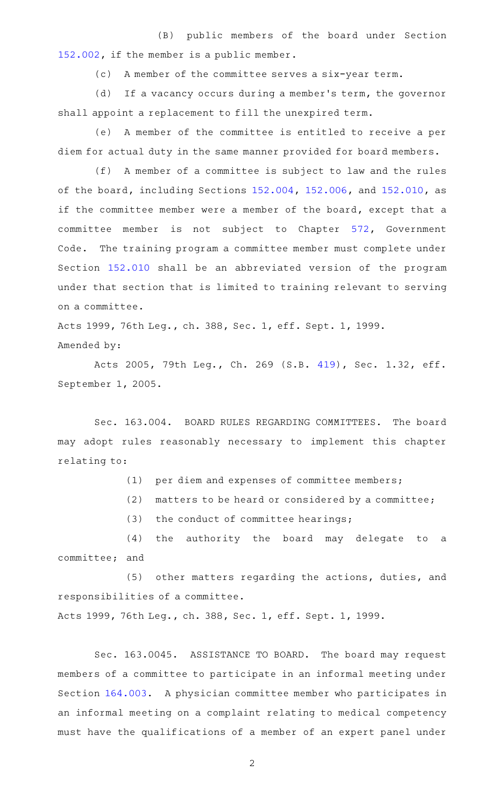(B) public members of the board under Section [152.002,](http://www.statutes.legis.state.tx.us/GetStatute.aspx?Code=OC&Value=152.002) if the member is a public member.

(c) A member of the committee serves a six-year term.

(d) If a vacancy occurs during a member's term, the governor shall appoint a replacement to fill the unexpired term.

(e) A member of the committee is entitled to receive a per diem for actual duty in the same manner provided for board members.

(f) A member of a committee is subject to law and the rules of the board, including Sections [152.004](http://www.statutes.legis.state.tx.us/GetStatute.aspx?Code=OC&Value=152.004), [152.006,](http://www.statutes.legis.state.tx.us/GetStatute.aspx?Code=OC&Value=152.006) and [152.010](http://www.statutes.legis.state.tx.us/GetStatute.aspx?Code=OC&Value=152.010), as if the committee member were a member of the board, except that a committee member is not subject to Chapter [572](http://www.statutes.legis.state.tx.us/GetStatute.aspx?Code=GV&Value=572), Government Code. The training program a committee member must complete under Section [152.010](http://www.statutes.legis.state.tx.us/GetStatute.aspx?Code=OC&Value=152.010) shall be an abbreviated version of the program under that section that is limited to training relevant to serving on a committee.

Acts 1999, 76th Leg., ch. 388, Sec. 1, eff. Sept. 1, 1999. Amended by:

Acts 2005, 79th Leg., Ch. 269 (S.B. [419](http://www.legis.state.tx.us/tlodocs/79R/billtext/html/SB00419F.HTM)), Sec. 1.32, eff. September 1, 2005.

Sec. 163.004. BOARD RULES REGARDING COMMITTEES. The board may adopt rules reasonably necessary to implement this chapter relating to:

 $(1)$  per diem and expenses of committee members;

 $(2)$  matters to be heard or considered by a committee;

 $(3)$  the conduct of committee hearings;

(4) the authority the board may delegate to a committee; and

(5) other matters regarding the actions, duties, and responsibilities of a committee.

Acts 1999, 76th Leg., ch. 388, Sec. 1, eff. Sept. 1, 1999.

Sec. 163.0045. ASSISTANCE TO BOARD. The board may request members of a committee to participate in an informal meeting under Section [164.003.](http://www.statutes.legis.state.tx.us/GetStatute.aspx?Code=OC&Value=164.003) A physician committee member who participates in an informal meeting on a complaint relating to medical competency must have the qualifications of a member of an expert panel under

2